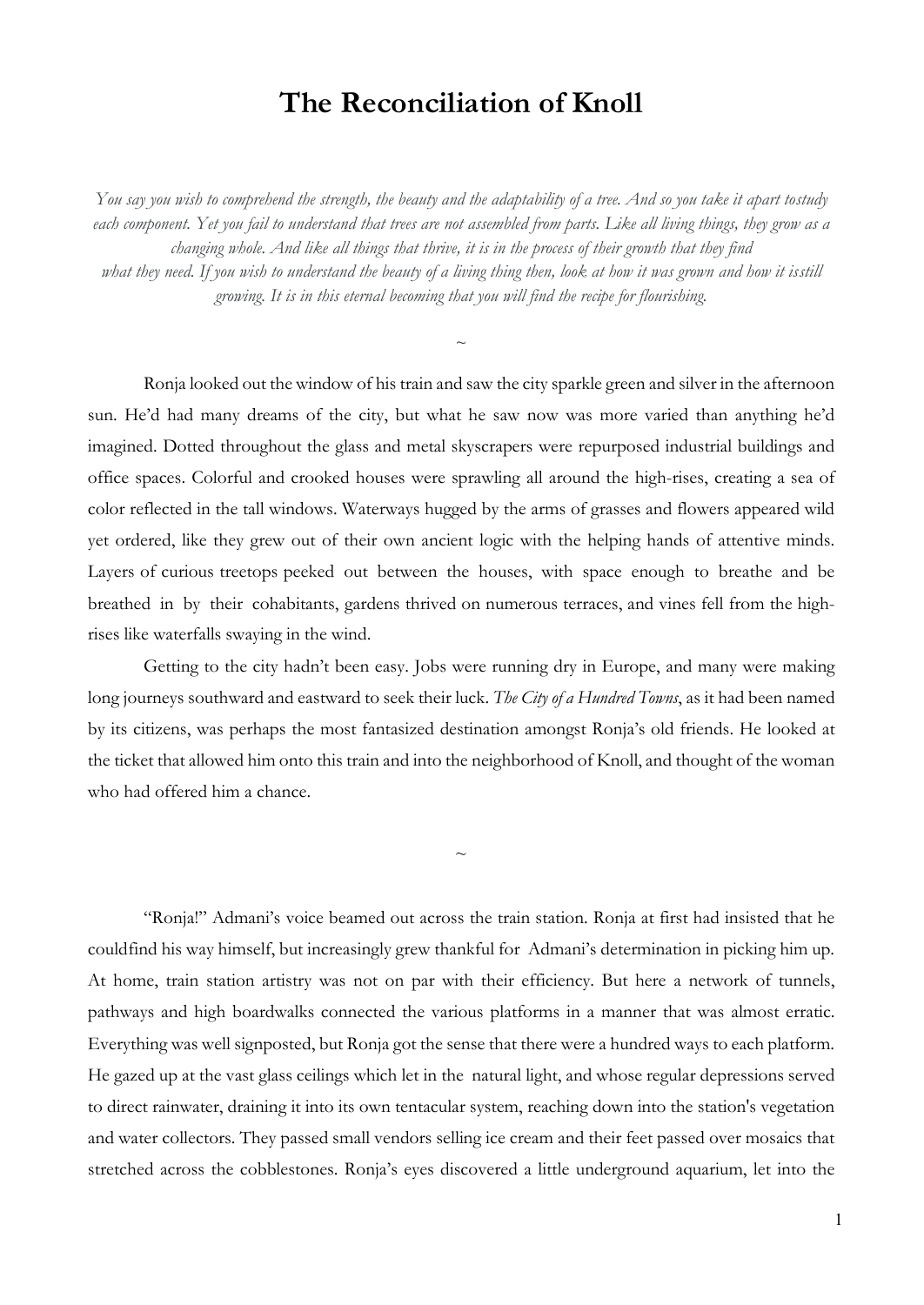## **The Reconciliation of Knoll**

You say you wish to comprehend the strength, the beauty and the adaptability of a tree. And so you take it apart tostudy *each component. Yet you fail to understand that trees are not assembled from parts. Like all living things, they grow as a changing whole. And like all things that thrive, it is in the process of their growth that they find* what they need. If you wish to understand the beauty of a living thing then, look at how it was grown and how it isstill *growing. It is in this eternal becoming that you will find the recipe for flourishing.*

 $\overline{\phantom{0}}$ 

Ronja looked out the window of his train and saw the city sparkle green and silver in the afternoon sun. He'd had many dreams of the city, but what he saw now was more varied than anything he'd imagined. Dotted throughout the glass and metal skyscrapers were repurposed industrial buildings and office spaces. Colorful and crooked houses were sprawling all around the high-rises, creating a sea of color reflected in the tall windows. Waterways hugged by the arms of grasses and flowers appeared wild yet ordered, like they grew out of their own ancient logic with the helping hands of attentive minds. Layers of curious treetops peeked out between the houses, with space enough to breathe and be breathed in by their cohabitants, gardens thrived on numerous terraces, and vines fell from the highrises like waterfalls swaying in the wind.

Getting to the city hadn't been easy. Jobs were running dry in Europe, and many were making long journeys southward and eastward to seek their luck. *The City of a Hundred Towns*, as it had been named by its citizens, was perhaps the most fantasized destination amongst Ronja's old friends. He looked at the ticket that allowed him onto this train and into the neighborhood of Knoll, and thought of the woman who had offered him a chance.

 $\sim$ 

"Ronja!" Admani's voice beamed out across the train station. Ronja at first had insisted that he couldfind his way himself, but increasingly grew thankful for Admani's determination in picking him up. At home, train station artistry was not on par with their efficiency. But here a network of tunnels, pathways and high boardwalks connected the various platforms in a manner that was almost erratic. Everything was well signposted, but Ronja got the sense that there were a hundred ways to each platform. He gazed up at the vast glass ceilings which let in the natural light, and whose regular depressions served to direct rainwater, draining it into its own tentacular system, reaching down into the station's vegetation and water collectors. They passed small vendors selling ice cream and their feet passed over mosaics that stretched across the cobblestones. Ronja's eyes discovered a little underground aquarium, let into the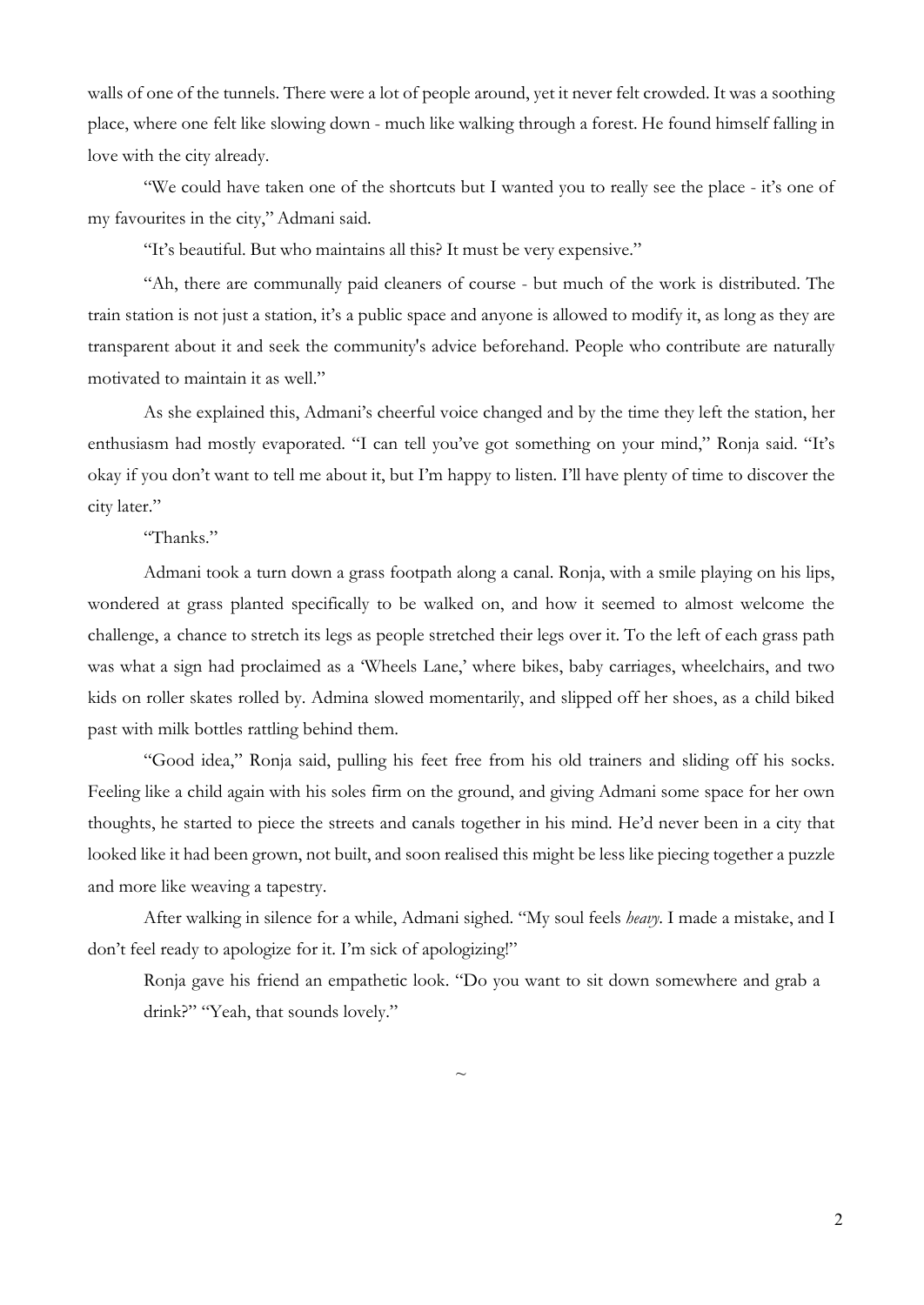walls of one of the tunnels. There were a lot of people around, yet it never felt crowded. It was a soothing place, where one felt like slowing down - much like walking through a forest. He found himself falling in love with the city already.

"We could have taken one of the shortcuts but I wanted you to really see the place - it's one of my favourites in the city," Admani said.

"It's beautiful. But who maintains all this? It must be very expensive."

"Ah, there are communally paid cleaners of course - but much of the work is distributed. The train station is not just a station, it's a public space and anyone is allowed to modify it, as long as they are transparent about it and seek the community's advice beforehand. People who contribute are naturally motivated to maintain it as well."

As she explained this, Admani's cheerful voice changed and by the time they left the station, her enthusiasm had mostly evaporated. "I can tell you've got something on your mind," Ronja said. "It's okay if you don't want to tell me about it, but I'm happy to listen. I'll have plenty of time to discover the city later."

"Thanks."

Admani took a turn down a grass footpath along a canal. Ronja, with a smile playing on his lips, wondered at grass planted specifically to be walked on, and how it seemed to almost welcome the challenge, a chance to stretch its legs as people stretched their legs over it. To the left of each grass path was what a sign had proclaimed as a 'Wheels Lane,' where bikes, baby carriages, wheelchairs, and two kids on roller skates rolled by. Admina slowed momentarily, and slipped off her shoes, as a child biked past with milk bottles rattling behind them.

"Good idea," Ronja said, pulling his feet free from his old trainers and sliding off his socks. Feeling like a child again with his soles firm on the ground, and giving Admani some space for her own thoughts, he started to piece the streets and canals together in his mind. He'd never been in a city that looked like it had been grown, not built, and soon realised this might be less like piecing together a puzzle and more like weaving a tapestry.

After walking in silence for a while, Admani sighed. "My soul feels *heavy*. I made a mistake, and I don't feel ready to apologize for it. I'm sick of apologizing!"

Ronja gave his friend an empathetic look. "Do you want to sit down somewhere and grab a drink?" "Yeah, that sounds lovely."

 $\sim$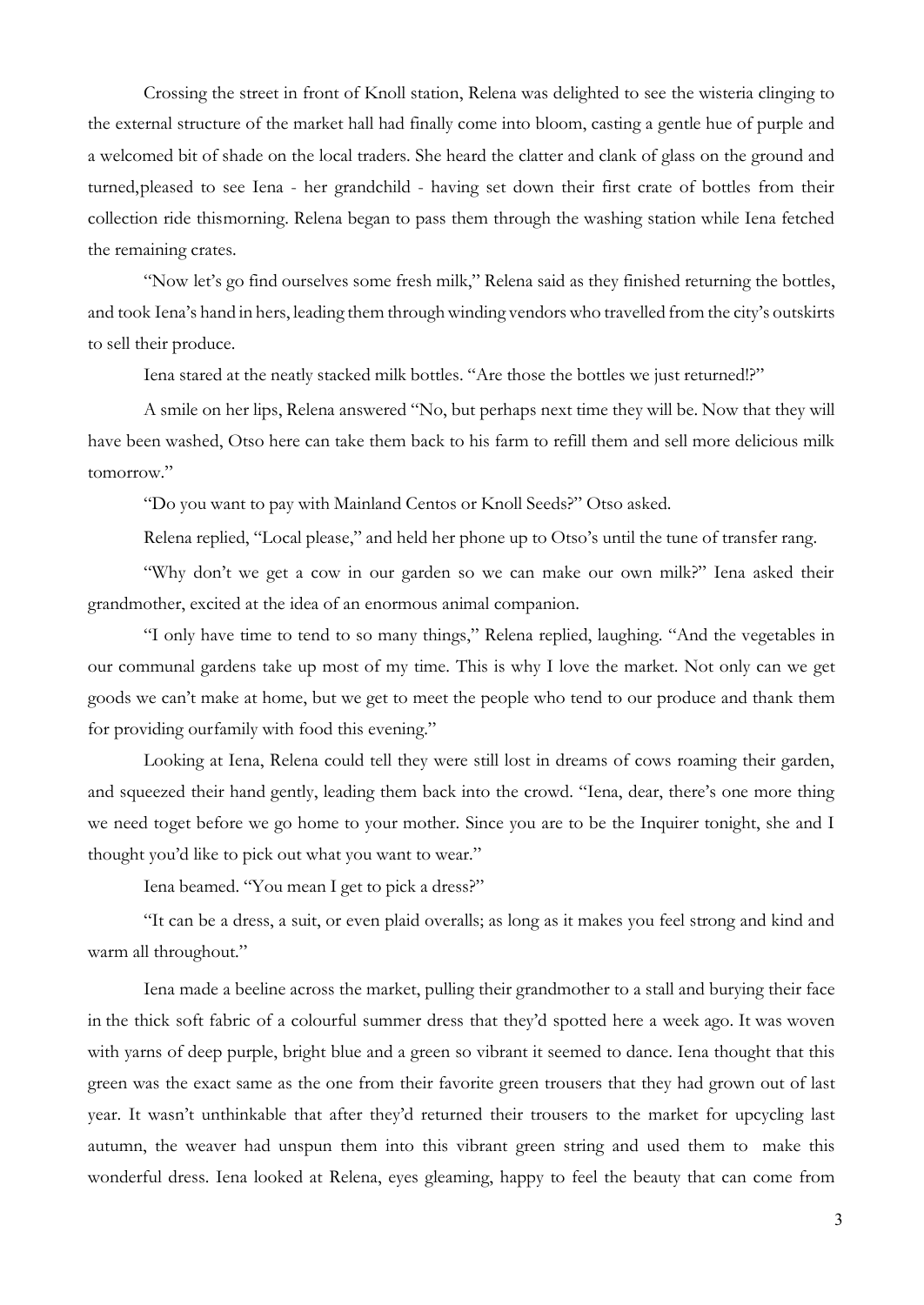Crossing the street in front of Knoll station, Relena was delighted to see the wisteria clinging to the external structure of the market hall had finally come into bloom, casting a gentle hue of purple and a welcomed bit of shade on the local traders. She heard the clatter and clank of glass on the ground and turned,pleased to see Iena - her grandchild - having set down their first crate of bottles from their collection ride thismorning. Relena began to pass them through the washing station while Iena fetched the remaining crates.

"Now let's go find ourselves some fresh milk," Relena said as they finished returning the bottles, and took Iena's hand in hers, leading them through winding vendors who travelled from the city's outskirts to sell their produce.

Iena stared at the neatly stacked milk bottles. "Are those the bottles we just returned!?"

A smile on her lips, Relena answered "No, but perhaps next time they will be. Now that they will have been washed, Otso here can take them back to his farm to refill them and sell more delicious milk tomorrow."

"Do you want to pay with Mainland Centos or Knoll Seeds?" Otso asked.

Relena replied, "Local please," and held her phone up to Otso's until the tune of transfer rang.

"Why don't we get a cow in our garden so we can make our own milk?" Iena asked their grandmother, excited at the idea of an enormous animal companion.

"I only have time to tend to so many things," Relena replied, laughing. "And the vegetables in our communal gardens take up most of my time. This is why I love the market. Not only can we get goods we can't make at home, but we get to meet the people who tend to our produce and thank them for providing ourfamily with food this evening."

Looking at Iena, Relena could tell they were still lost in dreams of cows roaming their garden, and squeezed their hand gently, leading them back into the crowd. "Iena, dear, there's one more thing we need toget before we go home to your mother. Since you are to be the Inquirer tonight, she and I thought you'd like to pick out what you want to wear."

Iena beamed. "You mean I get to pick a dress?"

"It can be a dress, a suit, or even plaid overalls; as long as it makes you feel strong and kind and warm all throughout."

Iena made a beeline across the market, pulling their grandmother to a stall and burying their face in the thick soft fabric of a colourful summer dress that they'd spotted here a week ago. It was woven with yarns of deep purple, bright blue and a green so vibrant it seemed to dance. Iena thought that this green was the exact same as the one from their favorite green trousers that they had grown out of last year. It wasn't unthinkable that after they'd returned their trousers to the market for upcycling last autumn, the weaver had unspun them into this vibrant green string and used them to make this wonderful dress. Iena looked at Relena, eyes gleaming, happy to feel the beauty that can come from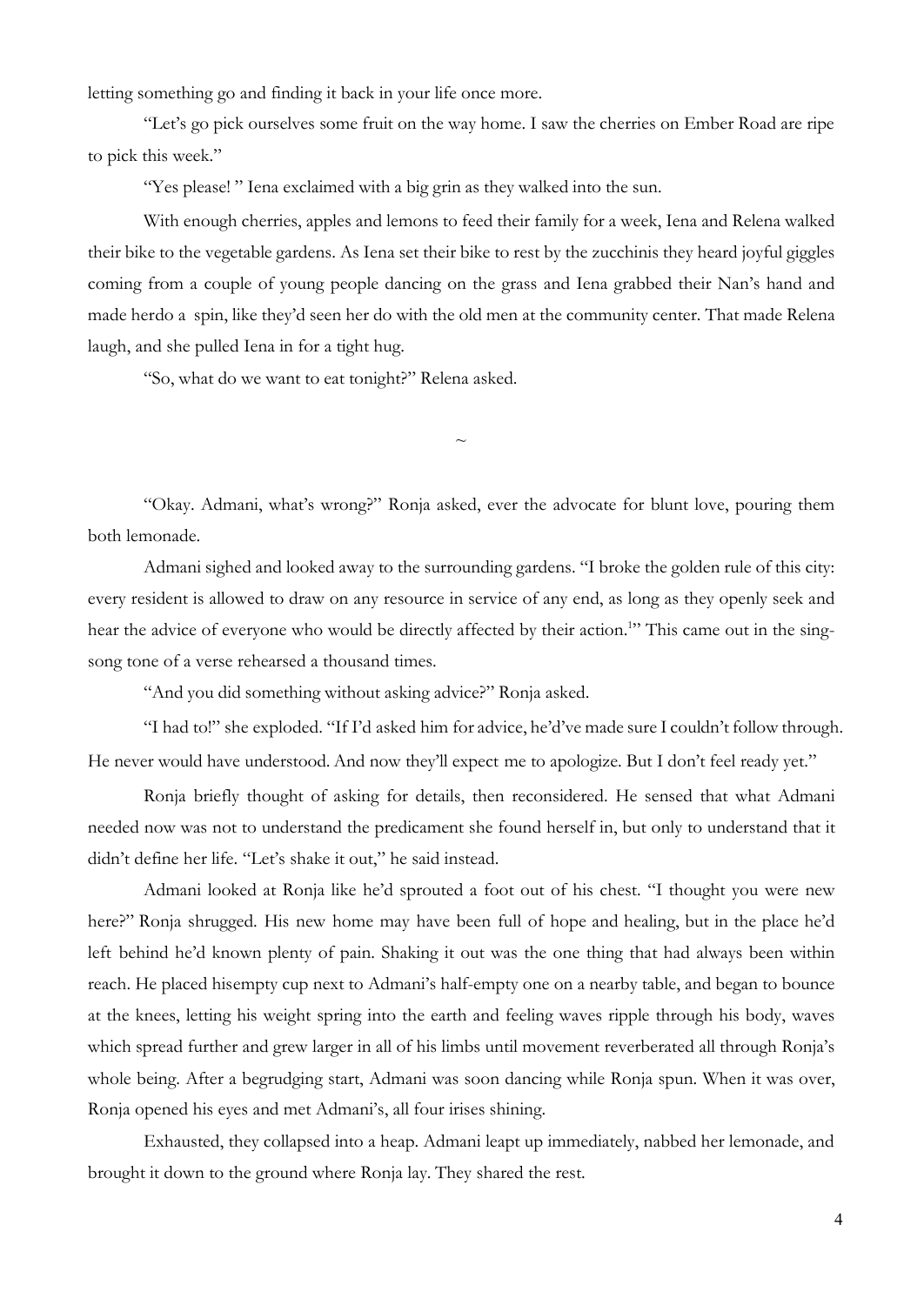letting something go and finding it back in your life once more.

"Let's go pick ourselves some fruit on the way home. I saw the cherries on Ember Road are ripe to pick this week."

"Yes please! " Iena exclaimed with a big grin as they walked into the sun.

With enough cherries, apples and lemons to feed their family for a week, Iena and Relena walked their bike to the vegetable gardens. As Iena set their bike to rest by the zucchinis they heard joyful giggles coming from a couple of young people dancing on the grass and Iena grabbed their Nan's hand and made herdo a spin, like they'd seen her do with the old men at the community center. That made Relena laugh, and she pulled Iena in for a tight hug.

"So, what do we want to eat tonight?" Relena asked.

"Okay. Admani, what's wrong?" Ronja asked, ever the advocate for blunt love, pouring them both lemonade.

 $\sim$ 

Admani sighed and looked away to the surrounding gardens. "I broke the golden rule of this city: every resident is allowed to draw on any resource in service of any end, as long as they openly seek and hear the advice of everyone who would be directly affected by their action.<sup>1</sup>" This came out in the singsong tone of a verse rehearsed a thousand times.

"And you did something without asking advice?" Ronja asked.

"I had to!" she exploded. "If I'd asked him for advice, he'd've made sure I couldn't follow through. He never would have understood. And now they'll expect me to apologize. But I don't feel ready yet."

Ronja briefly thought of asking for details, then reconsidered. He sensed that what Admani needed now was not to understand the predicament she found herself in, but only to understand that it didn't define her life. "Let's shake it out," he said instead.

Admani looked at Ronja like he'd sprouted a foot out of his chest. "I thought you were new here?" Ronja shrugged. His new home may have been full of hope and healing, but in the place he'd left behind he'd known plenty of pain. Shaking it out was the one thing that had always been within reach. He placed hisempty cup next to Admani's half-empty one on a nearby table, and began to bounce at the knees, letting his weight spring into the earth and feeling waves ripple through his body, waves which spread further and grew larger in all of his limbs until movement reverberated all through Ronja's whole being. After a begrudging start, Admani was soon dancing while Ronja spun. When it was over, Ronja opened his eyes and met Admani's, all four irises shining.

Exhausted, they collapsed into a heap. Admani leapt up immediately, nabbed her lemonade, and brought it down to the ground where Ronja lay. They shared the rest.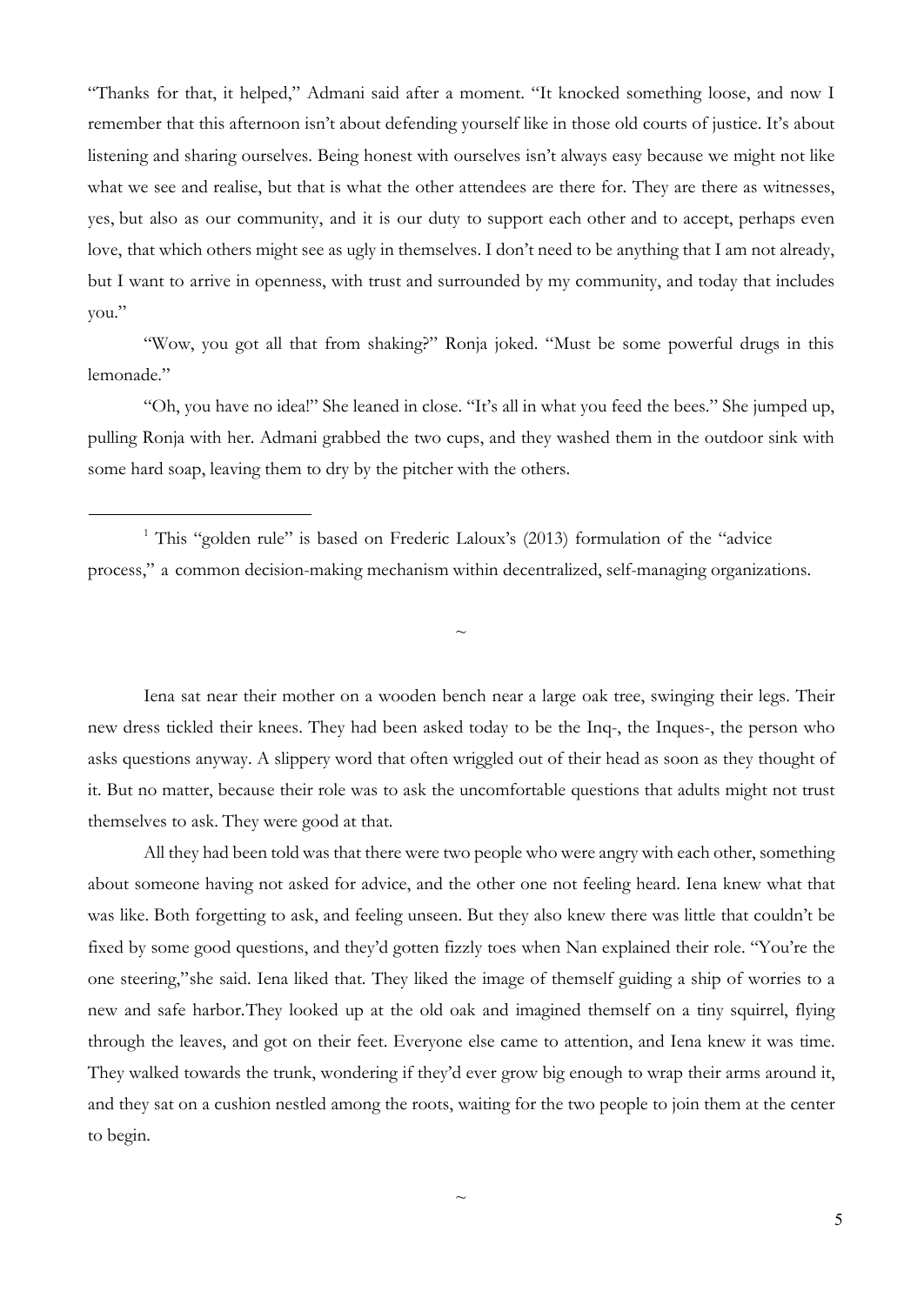"Thanks for that, it helped," Admani said after a moment. "It knocked something loose, and now I remember that this afternoon isn't about defending yourself like in those old courts of justice. It's about listening and sharing ourselves. Being honest with ourselves isn't always easy because we might not like what we see and realise, but that is what the other attendees are there for. They are there as witnesses, yes, but also as our community, and it is our duty to support each other and to accept, perhaps even love, that which others might see as ugly in themselves. I don't need to be anything that I am not already, but I want to arrive in openness, with trust and surrounded by my community, and today that includes you."

"Wow, you got all that from shaking?" Ronja joked. "Must be some powerful drugs in this lemonade."

"Oh, you have no idea!" She leaned in close. "It's all in what you feed the bees." She jumped up, pulling Ronja with her. Admani grabbed the two cups, and they washed them in the outdoor sink with some hard soap, leaving them to dry by the pitcher with the others.

<sup>1</sup> This "golden rule" is based on Frederic Laloux's (2013) formulation of the "advice process," a common decision-making mechanism within decentralized, self-managing organizations.

Iena sat near their mother on a wooden bench near a large oak tree, swinging their legs. Their new dress tickled their knees. They had been asked today to be the Inq-, the Inques-, the person who asks questions anyway. A slippery word that often wriggled out of their head as soon as they thought of it. But no matter, because their role was to ask the uncomfortable questions that adults might not trust themselves to ask. They were good at that.

 $\sim$ 

All they had been told was that there were two people who were angry with each other, something about someone having not asked for advice, and the other one not feeling heard. Iena knew what that was like. Both forgetting to ask, and feeling unseen. But they also knew there was little that couldn't be fixed by some good questions, and they'd gotten fizzly toes when Nan explained their role. "You're the one steering,"she said. Iena liked that. They liked the image of themself guiding a ship of worries to a new and safe harbor.They looked up at the old oak and imagined themself on a tiny squirrel, flying through the leaves, and got on their feet. Everyone else came to attention, and Iena knew it was time. They walked towards the trunk, wondering if they'd ever grow big enough to wrap their arms around it, and they sat on a cushion nestled among the roots, waiting for the two people to join them at the center to begin.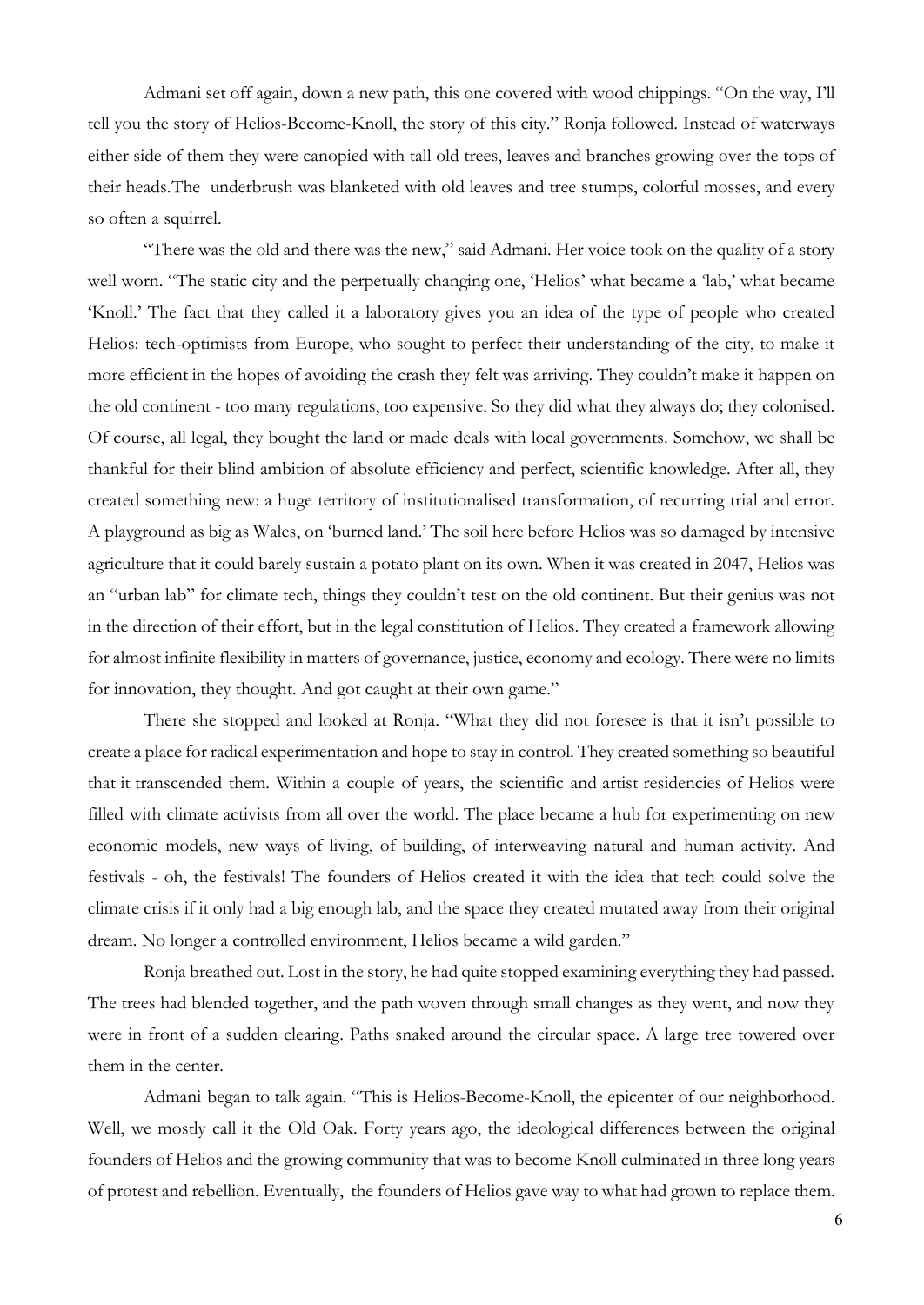Admani set off again, down a new path, this one covered with wood chippings. "On the way, I'll tell you the story of Helios-Become-Knoll, the story of this city." Ronja followed. Instead of waterways either side of them they were canopied with tall old trees, leaves and branches growing over the tops of their heads.The underbrush was blanketed with old leaves and tree stumps, colorful mosses, and every so often a squirrel.

"There was the old and there was the new," said Admani. Her voice took on the quality of a story well worn. "The static city and the perpetually changing one, 'Helios' what became a 'lab,' what became 'Knoll.' The fact that they called it a laboratory gives you an idea of the type of people who created Helios: tech-optimists from Europe, who sought to perfect their understanding of the city, to make it more efficient in the hopes of avoiding the crash they felt was arriving. They couldn't make it happen on the old continent - too many regulations, too expensive. So they did what they always do; they colonised. Of course, all legal, they bought the land or made deals with local governments. Somehow, we shall be thankful for their blind ambition of absolute efficiency and perfect, scientific knowledge. After all, they created something new: a huge territory of institutionalised transformation, of recurring trial and error. A playground as big as Wales, on 'burned land.' The soil here before Helios was so damaged by intensive agriculture that it could barely sustain a potato plant on its own. When it was created in 2047, Helios was an "urban lab" for climate tech, things they couldn't test on the old continent. But their genius was not in the direction of their effort, but in the legal constitution of Helios. They created a framework allowing for almost infinite flexibility in matters of governance, justice, economy and ecology. There were no limits for innovation, they thought. And got caught at their own game."

There she stopped and looked at Ronja. "What they did not foresee is that it isn't possible to create a place for radical experimentation and hope to stay in control. They created something so beautiful that it transcended them. Within a couple of years, the scientific and artist residencies of Helios were filled with climate activists from all over the world. The place became a hub for experimenting on new economic models, new ways of living, of building, of interweaving natural and human activity. And festivals - oh, the festivals! The founders of Helios created it with the idea that tech could solve the climate crisis if it only had a big enough lab, and the space they created mutated away from their original dream. No longer a controlled environment, Helios became a wild garden."

Ronja breathed out. Lost in the story, he had quite stopped examining everything they had passed. The trees had blended together, and the path woven through small changes as they went, and now they were in front of a sudden clearing. Paths snaked around the circular space. A large tree towered over them in the center.

Admani began to talk again. "This is Helios-Become-Knoll, the epicenter of our neighborhood. Well, we mostly call it the Old Oak. Forty years ago, the ideological differences between the original founders of Helios and the growing community that was to become Knoll culminated in three long years of protest and rebellion. Eventually, the founders of Helios gave way to what had grown to replace them.